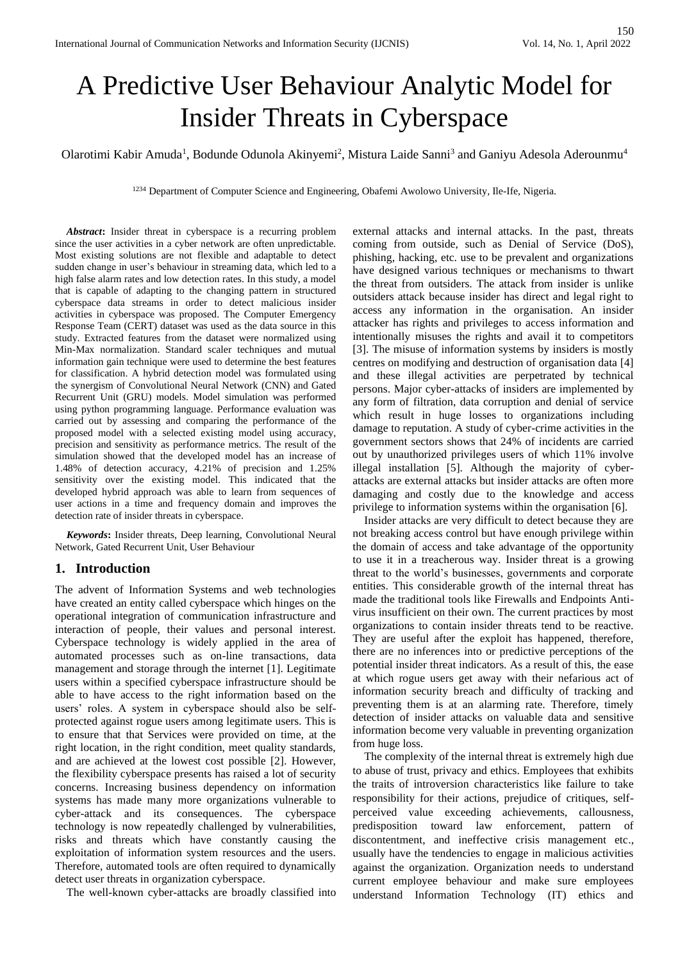# A Predictive User Behaviour Analytic Model for Insider Threats in Cyberspace

Olarotimi Kabir Amuda<sup>1</sup>, Bodunde Odunola Akinyemi<sup>2</sup>, Mistura Laide Sanni<sup>3</sup> and Ganiyu Adesola Aderounmu<sup>4</sup>

<sup>1234</sup> Department of Computer Science and Engineering, Obafemi Awolowo University, Ile-Ife, Nigeria.

*Abstract***:** Insider threat in cyberspace is a recurring problem since the user activities in a cyber network are often unpredictable. Most existing solutions are not flexible and adaptable to detect sudden change in user's behaviour in streaming data, which led to a high false alarm rates and low detection rates. In this study, a model that is capable of adapting to the changing pattern in structured cyberspace data streams in order to detect malicious insider activities in cyberspace was proposed. The Computer Emergency Response Team (CERT) dataset was used as the data source in this study. Extracted features from the dataset were normalized using Min-Max normalization. Standard scaler techniques and mutual information gain technique were used to determine the best features for classification. A hybrid detection model was formulated using the synergism of Convolutional Neural Network (CNN) and Gated Recurrent Unit (GRU) models. Model simulation was performed using python programming language. Performance evaluation was carried out by assessing and comparing the performance of the proposed model with a selected existing model using accuracy, precision and sensitivity as performance metrics. The result of the simulation showed that the developed model has an increase of 1.48% of detection accuracy, 4.21% of precision and 1.25% sensitivity over the existing model. This indicated that the developed hybrid approach was able to learn from sequences of user actions in a time and frequency domain and improves the detection rate of insider threats in cyberspace.

*Keywords***:** Insider threats, Deep learning, Convolutional Neural Network, Gated Recurrent Unit, User Behaviour

# **1. Introduction**

The advent of Information Systems and web technologies have created an entity called cyberspace which hinges on the operational integration of communication infrastructure and interaction of people, their values and personal interest. Cyberspace technology is widely applied in the area of automated processes such as on-line transactions, data management and storage through the internet [1]. Legitimate users within a specified cyberspace infrastructure should be able to have access to the right information based on the users' roles. A system in cyberspace should also be selfprotected against rogue users among legitimate users. This is to ensure that that Services were provided on time, at the right location, in the right condition, meet quality standards, and are achieved at the lowest cost possible [2]. However, the flexibility cyberspace presents has raised a lot of security concerns. Increasing business dependency on information systems has made many more organizations vulnerable to cyber-attack and its consequences. The cyberspace technology is now repeatedly challenged by vulnerabilities, risks and threats which have constantly causing the exploitation of information system resources and the users. Therefore, automated tools are often required to dynamically detect user threats in organization cyberspace.

The well-known cyber-attacks are broadly classified into

external attacks and internal attacks. In the past, threats coming from outside, such as Denial of Service (DoS), phishing, hacking, etc. use to be prevalent and organizations have designed various techniques or mechanisms to thwart the threat from outsiders. The attack from insider is unlike outsiders attack because insider has direct and legal right to access any information in the organisation. An insider attacker has rights and privileges to access information and intentionally misuses the rights and avail it to competitors [3]. The misuse of information systems by insiders is mostly centres on modifying and destruction of organisation data [4] and these illegal activities are perpetrated by technical persons. Major cyber-attacks of insiders are implemented by any form of filtration, data corruption and denial of service which result in huge losses to organizations including damage to reputation. A study of cyber-crime activities in the government sectors shows that 24% of incidents are carried out by unauthorized privileges users of which 11% involve illegal installation [5]. Although the majority of cyberattacks are external attacks but insider attacks are often more damaging and costly due to the knowledge and access privilege to information systems within the organisation [6].

Insider attacks are very difficult to detect because they are not breaking access control but have enough privilege within the domain of access and take advantage of the opportunity to use it in a treacherous way. Insider threat is a growing threat to the world's businesses, governments and corporate entities. This considerable growth of the internal threat has made the traditional tools like Firewalls and Endpoints Antivirus insufficient on their own. The current practices by most organizations to contain insider threats tend to be reactive. They are useful after the exploit has happened, therefore, there are no inferences into or predictive perceptions of the potential insider threat indicators. As a result of this, the ease at which rogue users get away with their nefarious act of information security breach and difficulty of tracking and preventing them is at an alarming rate. Therefore, timely detection of insider attacks on valuable data and sensitive information become very valuable in preventing organization from huge loss.

The complexity of the internal threat is extremely high due to abuse of trust, privacy and ethics. Employees that exhibits the traits of introversion characteristics like failure to take responsibility for their actions, prejudice of critiques, selfperceived value exceeding achievements, callousness, predisposition toward law enforcement, pattern of discontentment, and ineffective crisis management etc., usually have the tendencies to engage in malicious activities against the organization. Organization needs to understand current employee behaviour and make sure employees understand Information Technology (IT) ethics and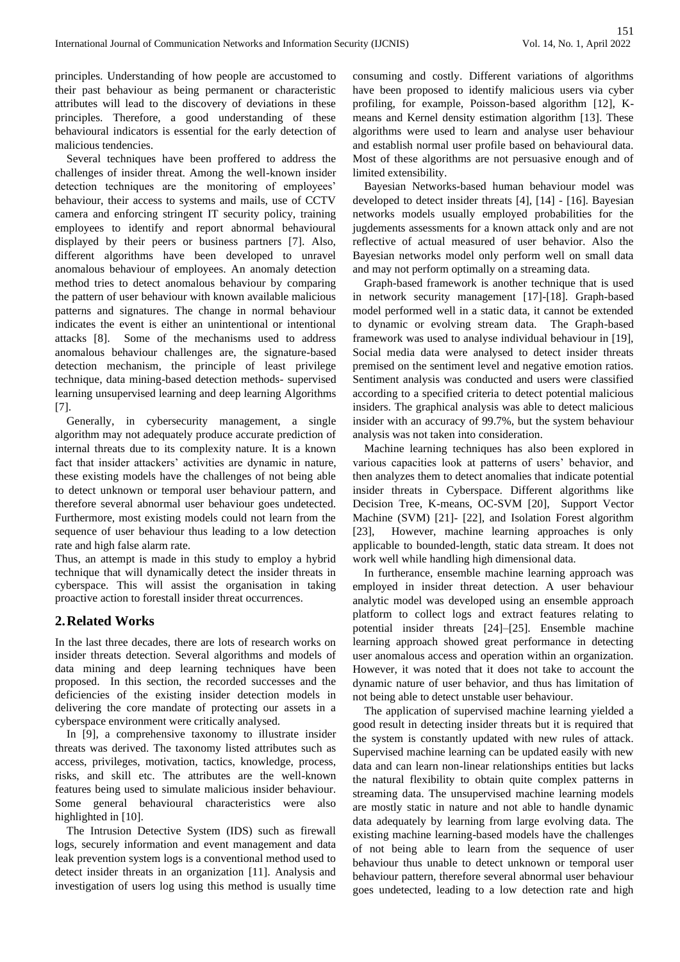principles. Understanding of how people are accustomed to their past behaviour as being permanent or characteristic attributes will lead to the discovery of deviations in these principles. Therefore, a good understanding of these behavioural indicators is essential for the early detection of malicious tendencies.

Several techniques have been proffered to address the challenges of insider threat. Among the well-known insider detection techniques are the monitoring of employees' behaviour, their access to systems and mails, use of CCTV camera and enforcing stringent IT security policy, training employees to identify and report abnormal behavioural displayed by their peers or business partners [7]. Also, different algorithms have been developed to unravel anomalous behaviour of employees. An anomaly detection method tries to detect anomalous behaviour by comparing the pattern of user behaviour with known available malicious patterns and signatures. The change in normal behaviour indicates the event is either an unintentional or intentional attacks [8]. Some of the mechanisms used to address anomalous behaviour challenges are, the signature-based detection mechanism, the principle of least privilege technique, data mining-based detection methods- supervised learning unsupervised learning and deep learning Algorithms [7].

Generally, in cybersecurity management, a single algorithm may not adequately produce accurate prediction of internal threats due to its complexity nature. It is a known fact that insider attackers' activities are dynamic in nature, these existing models have the challenges of not being able to detect unknown or temporal user behaviour pattern, and therefore several abnormal user behaviour goes undetected. Furthermore, most existing models could not learn from the sequence of user behaviour thus leading to a low detection rate and high false alarm rate.

Thus, an attempt is made in this study to employ a hybrid technique that will dynamically detect the insider threats in cyberspace. This will assist the organisation in taking proactive action to forestall insider threat occurrences.

# **2.Related Works**

In the last three decades, there are lots of research works on insider threats detection. Several algorithms and models of data mining and deep learning techniques have been proposed. In this section, the recorded successes and the deficiencies of the existing insider detection models in delivering the core mandate of protecting our assets in a cyberspace environment were critically analysed.

In [9], a comprehensive taxonomy to illustrate insider threats was derived. The taxonomy listed attributes such as access, privileges, motivation, tactics, knowledge, process, risks, and skill etc. The attributes are the well-known features being used to simulate malicious insider behaviour. Some general behavioural characteristics were also highlighted in [10].

The Intrusion Detective System (IDS) such as firewall logs, securely information and event management and data leak prevention system logs is a conventional method used to detect insider threats in an organization [11]. Analysis and investigation of users log using this method is usually time

consuming and costly. Different variations of algorithms have been proposed to identify malicious users via cyber profiling, for example, Poisson-based algorithm [12], Kmeans and Kernel density estimation algorithm [13]. These algorithms were used to learn and analyse user behaviour and establish normal user profile based on behavioural data. Most of these algorithms are not persuasive enough and of limited extensibility.

Bayesian Networks-based human behaviour model was developed to detect insider threats [4], [14] - [16]. Bayesian networks models usually employed probabilities for the jugdements assessments for a known attack only and are not reflective of actual measured of user behavior. Also the Bayesian networks model only perform well on small data and may not perform optimally on a streaming data.

Graph-based framework is another technique that is used in network security management [17]-[18]. Graph-based model performed well in a static data, it cannot be extended to dynamic or evolving stream data. The Graph-based framework was used to analyse individual behaviour in [19], Social media data were analysed to detect insider threats premised on the sentiment level and negative emotion ratios. Sentiment analysis was conducted and users were classified according to a specified criteria to detect potential malicious insiders. The graphical analysis was able to detect malicious insider with an accuracy of 99.7%, but the system behaviour analysis was not taken into consideration.

Machine learning techniques has also been explored in various capacities look at patterns of users' behavior, and then analyzes them to detect anomalies that indicate potential insider threats in Cyberspace. Different algorithms like Decision Tree, K-means, OC-SVM [20], Support Vector Machine (SVM) [21]- [22], and Isolation Forest algorithm [23], However, machine learning approaches is only applicable to bounded-length, static data stream. It does not work well while handling high dimensional data.

In furtherance, ensemble machine learning approach was employed in insider threat detection. A user behaviour analytic model was developed using an ensemble approach platform to collect logs and extract features relating to potential insider threats [24]–[25]. Ensemble machine learning approach showed great performance in detecting user anomalous access and operation within an organization. However, it was noted that it does not take to account the dynamic nature of user behavior, and thus has limitation of not being able to detect unstable user behaviour.

The application of supervised machine learning yielded a good result in detecting insider threats but it is required that the system is constantly updated with new rules of attack. Supervised machine learning can be updated easily with new data and can learn non-linear relationships entities but lacks the natural flexibility to obtain quite complex patterns in streaming data. The unsupervised machine learning models are mostly static in nature and not able to handle dynamic data adequately by learning from large evolving data. The existing machine learning-based models have the challenges of not being able to learn from the sequence of user behaviour thus unable to detect unknown or temporal user behaviour pattern, therefore several abnormal user behaviour goes undetected, leading to a low detection rate and high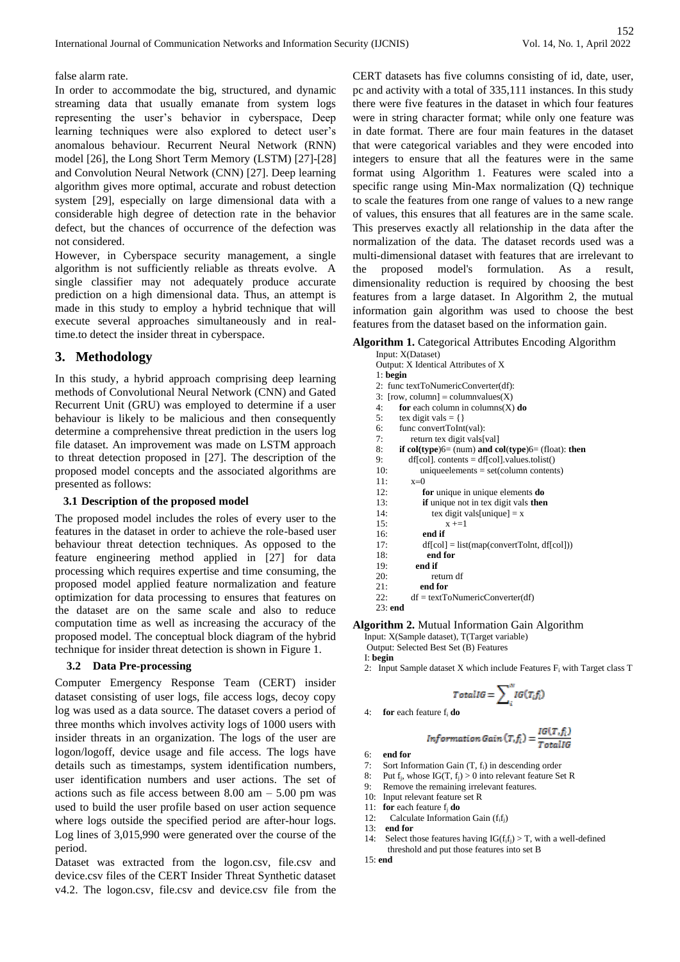false alarm rate.

In order to accommodate the big, structured, and dynamic streaming data that usually emanate from system logs representing the user's behavior in cyberspace, Deep learning techniques were also explored to detect user's anomalous behaviour. Recurrent Neural Network (RNN) model [26], the Long Short Term Memory (LSTM) [27]-[28] and Convolution Neural Network (CNN) [27]. Deep learning algorithm gives more optimal, accurate and robust detection system [29], especially on large dimensional data with a considerable high degree of detection rate in the behavior defect, but the chances of occurrence of the defection was not considered.

However, in Cyberspace security management, a single algorithm is not sufficiently reliable as threats evolve. A single classifier may not adequately produce accurate prediction on a high dimensional data. Thus, an attempt is made in this study to employ a hybrid technique that will execute several approaches simultaneously and in realtime.to detect the insider threat in cyberspace.

# **3. Methodology**

In this study, a hybrid approach comprising deep learning methods of Convolutional Neural Network (CNN) and Gated Recurrent Unit (GRU) was employed to determine if a user behaviour is likely to be malicious and then consequently determine a comprehensive threat prediction in the users log file dataset. An improvement was made on LSTM approach to threat detection proposed in [27]. The description of the proposed model concepts and the associated algorithms are presented as follows:

#### **3.1 Description of the proposed model**

The proposed model includes the roles of every user to the features in the dataset in order to achieve the role-based user behaviour threat detection techniques. As opposed to the feature engineering method applied in [27] for data processing which requires expertise and time consuming, the proposed model applied feature normalization and feature optimization for data processing to ensures that features on the dataset are on the same scale and also to reduce computation time as well as increasing the accuracy of the proposed model. The conceptual block diagram of the hybrid technique for insider threat detection is shown in Figure 1.

## **3.2 Data Pre-processing**

Computer Emergency Response Team (CERT) insider dataset consisting of user logs, file access logs, decoy copy log was used as a data source. The dataset covers a period of three months which involves activity logs of 1000 users with insider threats in an organization. The logs of the user are logon/logoff, device usage and file access. The logs have details such as timestamps, system identification numbers, user identification numbers and user actions. The set of actions such as file access between 8.00 am – 5.00 pm was used to build the user profile based on user action sequence where logs outside the specified period are after-hour logs. Log lines of 3,015,990 were generated over the course of the period.

Dataset was extracted from the logon.csv, file.csv and device.csv files of the CERT Insider Threat Synthetic dataset v4.2. The logon.csv, file.csv and device.csv file from the

CERT datasets has five columns consisting of id, date, user, pc and activity with a total of 335,111 instances. In this study there were five features in the dataset in which four features were in string character format; while only one feature was in date format. There are four main features in the dataset that were categorical variables and they were encoded into integers to ensure that all the features were in the same format using Algorithm 1. Features were scaled into a specific range using Min-Max normalization (Q) technique to scale the features from one range of values to a new range of values, this ensures that all features are in the same scale. This preserves exactly all relationship in the data after the normalization of the data. The dataset records used was a multi-dimensional dataset with features that are irrelevant to the proposed model's formulation. As a result, dimensionality reduction is required by choosing the best features from a large dataset. In Algorithm 2, the mutual information gain algorithm was used to choose the best features from the dataset based on the information gain.

# **Algorithm 1.** Categorical Attributes Encoding Algorithm

| <b>UTHILL 1.</b> Categorical Attributes Encounty Argu            |
|------------------------------------------------------------------|
| Input: X(Dataset)                                                |
| Output: X Identical Attributes of X                              |
| $1:$ begin                                                       |
| 2: func textToNumericConverter(df):                              |
| 3: [row, column] = column values(X)                              |
| 4:<br>for each column in columns $(X)$ do                        |
| 5:<br>tex digit vals = {}                                        |
| 6:<br>func convertToInt(val):                                    |
| 7:<br>return tex digit vals[val]                                 |
| 8:<br>if col(type) $6 = (num)$ and col(type) $6 = (float):$ then |
| 9:<br>$df[col]$ . contents = $df[col]$ . values. tolist()        |
| 10:<br>unique elements = $set(column contents)$                  |
| 11:<br>$x=0$                                                     |
| 12:<br>for unique in unique elements do                          |
| if unique not in tex digit vals then<br>13:                      |
| 14:<br>tex digit vals[unique] = $x$                              |
| 15:<br>$x + = 1$                                                 |
| end if<br>16:                                                    |
| 17:<br>$df[col] = list(mapconvertToInt, df[col])$                |
| end for<br>18:                                                   |
| end if<br>19:                                                    |
| 20:<br>return df                                                 |
| end for<br>21:                                                   |
| $df = textToNumericConverter(df)$<br>22:                         |
| $23:$ end                                                        |

#### **Algorithm 2.** Mutual Information Gain Algorithm

Input: X(Sample dataset), T(Target variable)

Output: Selected Best Set (B) Features

- I: **begin**
- 2: Input Sample dataset X which include Features  $F_i$  with Target class T

$$
TotalIG = \sum_{i}^{N} IG(T_i f_i)
$$

4: **for** each feature f<sup>i</sup> **do** 

$$
Information Gain(T, f_i) = \frac{IG(T, f_i)}{TotalIG}
$$

6: **end for** 

- 7: Sort Information Gain (T, f<sub>i</sub>) in descending order
- 8: Put  $f_i$ , whose  $IG(T, f_i) > 0$  into relevant feature Set R
- 9: Remove the remaining irrelevant features.
- 10: Input relevant feature set R
- 
- 11: **for** each feature  $f_j$  **do** 12: Calculate Information Calculate Information Gain  $(f_i f_j)$
- 13: **end for**
- 14: Select those features having  $IG(f_i f_j) > T$ , with a well-defined threshold and put those features into set B

$$
15: \mathbf{end}
$$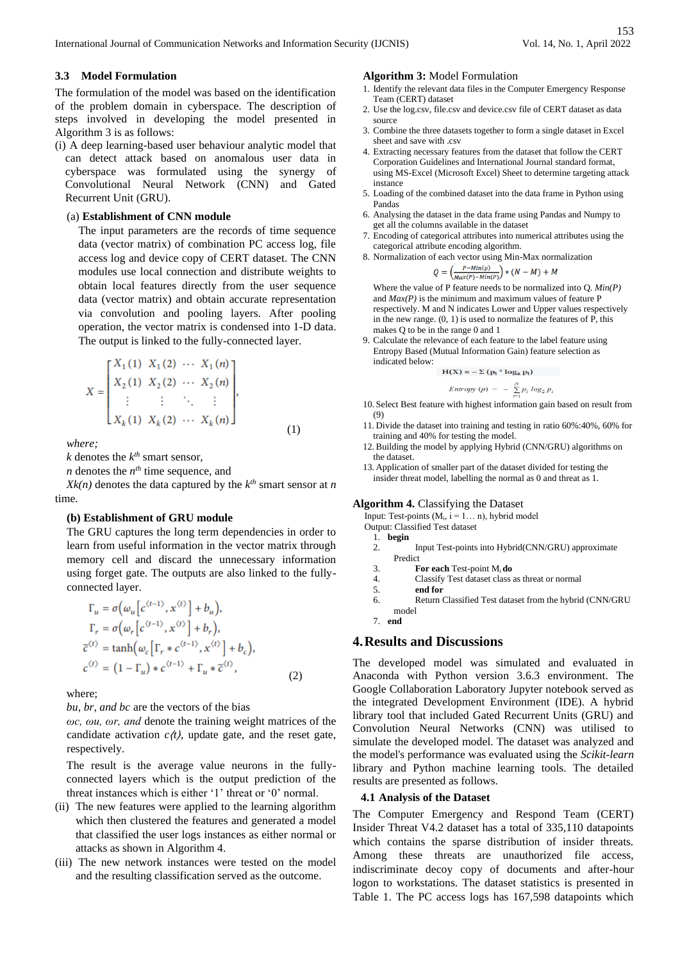## **3.3 Model Formulation**

The formulation of the model was based on the identification of the problem domain in cyberspace. The description of steps involved in developing the model presented in Algorithm 3 is as follows:

(i) A deep learning-based user behaviour analytic model that can detect attack based on anomalous user data in cyberspace was formulated using the synergy of Convolutional Neural Network (CNN) and Gated Recurrent Unit (GRU).

## (a) **Establishment of CNN module**

The input parameters are the records of time sequence data (vector matrix) of combination PC access log, file access log and device copy of CERT dataset. The CNN modules use local connection and distribute weights to obtain local features directly from the user sequence data (vector matrix) and obtain accurate representation via convolution and pooling layers. After pooling operation, the vector matrix is condensed into 1-D data. The output is linked to the fully-connected layer.

$$
X = \begin{bmatrix} X_1(1) & X_1(2) & \cdots & X_1(n) \\ X_2(1) & X_2(2) & \cdots & X_2(n) \\ \vdots & \vdots & \ddots & \vdots \\ X_k(1) & X_k(2) & \cdots & X_k(n) \end{bmatrix},
$$
(1)

*where;* 

 $k$  denotes the  $k^{th}$  smart sensor,

*n* denotes the *n th* time sequence, and

 $Xk(n)$  denotes the data captured by the  $k^{th}$  smart sensor at *n* time*.*

#### **(b) Establishment of GRU module**

The GRU captures the long term dependencies in order to learn from useful information in the vector matrix through memory cell and discard the unnecessary information using forget gate. The outputs are also linked to the fullyconnected layer.

$$
\Gamma_u = \sigma(\omega_u[c^{(t-1)}, x^{(t)}] + b_u),
$$
  
\n
$$
\Gamma_r = \sigma(\omega_r[c^{(t-1)}, x^{(t)}] + b_r),
$$
  
\n
$$
\tilde{c}^{(t)} = \tanh(\omega_c[\Gamma_r * c^{(t-1)}, x^{(t)}] + b_c),
$$
  
\n
$$
c^{(t)} = (1 - \Gamma_u) * c^{(t-1)} + \Gamma_u * \tilde{c}^{(t)},
$$
\n(2)

where;

*bu, br, and bc* are the vectors of the bias

*ωc, ωu, ωr, and* denote the training weight matrices of the candidate activation  $c(t)$ , update gate, and the reset gate, respectively.

The result is the average value neurons in the fullyconnected layers which is the output prediction of the threat instances which is either '1' threat or '0' normal.

- (ii) The new features were applied to the learning algorithm which then clustered the features and generated a model that classified the user logs instances as either normal or attacks as shown in Algorithm 4.
- (iii) The new network instances were tested on the model and the resulting classification served as the outcome.

#### **Algorithm 3:** Model Formulation

- 1. Identify the relevant data files in the Computer Emergency Response Team (CERT) dataset
- 2. Use the log.csv, file.csv and device.csv file of CERT dataset as data source
- 3. Combine the three datasets together to form a single dataset in Excel sheet and save with .csv
- 4. Extracting necessary features from the dataset that follow the CERT Corporation Guidelines and International Journal standard format, using MS-Excel (Microsoft Excel) Sheet to determine targeting attack instance
- 5. Loading of the combined dataset into the data frame in Python using Pandas
- 6. Analysing the dataset in the data frame using Pandas and Numpy to get all the columns available in the dataset
- 7. Encoding of categorical attributes into numerical attributes using the categorical attribute encoding algorithm.
- 8. Normalization of each vector using Min-Max normalization

$$
Q = \left(\frac{P - M(n)}{Max(P) - Min(P)}\right) * (N - M) + M
$$

Where the value of P feature needs to be normalized into Q. *Min(P)* and  $Max(P)$  is the minimum and maximum values of feature P respectively. M and N indicates Lower and Upper values respectively in the new range. (0, 1) is used to normalize the features of P, this makes Q to be in the range 0 and 1

9. Calculate the relevance of each feature to the label feature using Entropy Based (Mutual Information Gain) feature selection as indicated below:

$$
H(X) = -\sum (p_i * log_2 p_i)
$$

*Entropy*  $(p) = - \sum_{i=1}^{\infty} p_i \log_2 p_i$ 10. Select Best feature with highest information gain based on result from (9)

- 11. Divide the dataset into training and testing in ratio 60%:40%, 60% for training and 40% for testing the model.
- 12. Building the model by applying Hybrid (CNN/GRU) algorithms on the dataset.
- 13. Application of smaller part of the dataset divided for testing the insider threat model, labelling the normal as 0 and threat as 1.

#### **Algorithm 4.** Classifying the Dataset

Input: Test-points  $(M_i, i = 1... n)$ , hybrid model

- Output: Classified Test dataset
	- 1. **begin** 2. Input Test-points into Hybrid(CNN/GRU) approximate Predict
- 
- 3. **For each** Test-point Mi **do** 4.Classify Test dataset class as threat or normal
- 5. **end for**
- 6.Return Classified Test dataset from the hybrid (CNN/GRU model
- 7. **end**

# **4.Results and Discussions**

The developed model was simulated and evaluated in Anaconda with Python version 3.6.3 environment. The Google Collaboration Laboratory Jupyter notebook served as the integrated Development Environment (IDE). A hybrid library tool that included Gated Recurrent Units (GRU) and Convolution Neural Networks (CNN) was utilised to simulate the developed model. The dataset was analyzed and the model's performance was evaluated using the *Scikit-learn* library and Python machine learning tools. The detailed results are presented as follows.

# **4.1 Analysis of the Dataset**

The Computer Emergency and Respond Team (CERT) Insider Threat V4.2 dataset has a total of 335,110 datapoints which contains the sparse distribution of insider threats. Among these threats are unauthorized file access, indiscriminate decoy copy of documents and after-hour logon to workstations. The dataset statistics is presented in Table 1. The PC access logs has 167,598 datapoints which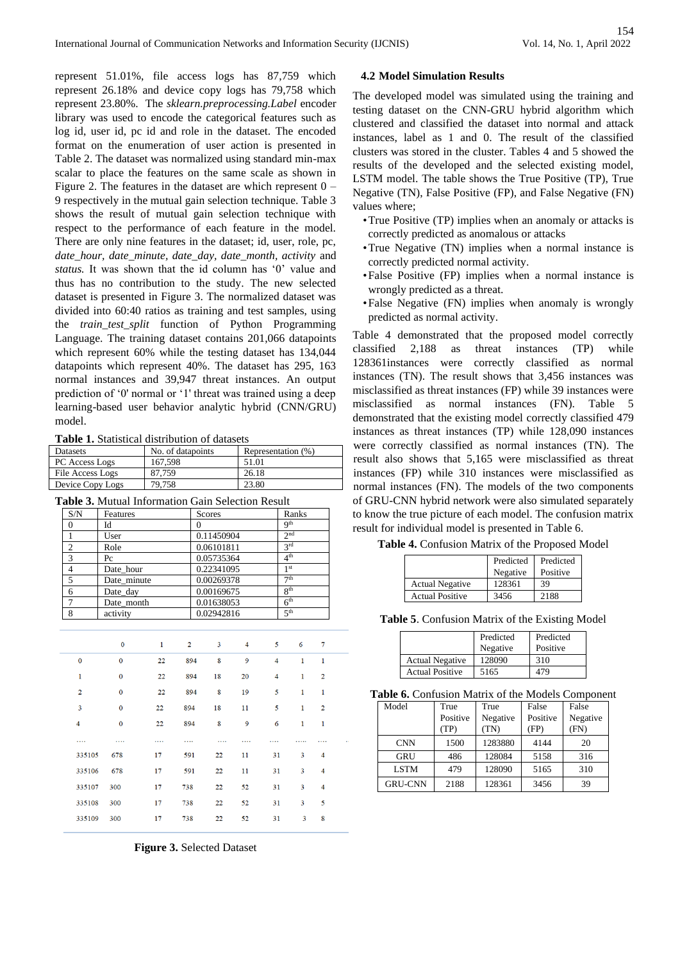represent 51.01%, file access logs has 87,759 which represent 26.18% and device copy logs has 79,758 which represent 23.80%. The *sklearn.preprocessing.Label* encoder library was used to encode the categorical features such as log id, user id, pc id and role in the dataset. The encoded format on the enumeration of user action is presented in Table 2. The dataset was normalized using standard min-max scalar to place the features on the same scale as shown in Figure 2. The features in the dataset are which represent  $0 -$ 9 respectively in the mutual gain selection technique. Table 3 shows the result of mutual gain selection technique with respect to the performance of each feature in the model. There are only nine features in the dataset; id, user, role, pc, *date\_hour, date\_minute, date\_day, date\_month, activity* and *status.* It was shown that the id column has '0' value and thus has no contribution to the study. The new selected dataset is presented in Figure 3. The normalized dataset was divided into 60:40 ratios as training and test samples, using the *train\_test\_split* function of Python Programming Language. The training dataset contains 201,066 datapoints which represent 60% while the testing dataset has 134,044 datapoints which represent 40%. The dataset has 295, 163 normal instances and 39,947 threat instances. An output prediction of '0' normal or '1' threat was trained using a deep learning-based user behavior analytic hybrid (CNN/GRU) model.

**Table 1.** Statistical distribution of datasets

| Datasets         | No. of datapoints | Representation (%) |
|------------------|-------------------|--------------------|
| PC Access Logs   | 167.598           | 51.01              |
| File Access Logs | 87.759            | 26.18              |
| Device Copy Logs | 79.758            | 23.80              |

**Table 3.** Mutual Information Gain Selection Result

| S/N | Features    | Scores     | Ranks           |
|-----|-------------|------------|-----------------|
|     | Id          |            | Q <sup>th</sup> |
|     | User        | 0.11450904 | 2 <sub>nd</sub> |
| っ   | Role        | 0.06101811 | 2rd             |
| 3   | Pc          | 0.05735364 | $4^{\text{th}}$ |
|     | Date hour   | 0.22341095 | 1 <sup>st</sup> |
| 5   | Date minute | 0.00269378 | 7 <sup>th</sup> |
| 6   | Date_day    | 0.00169675 | 8 <sup>th</sup> |
|     | Date month  | 0.01638053 | 6 <sup>th</sup> |
| 8   | activity    | 0.02942816 | 5 <sup>th</sup> |

|                | 0        | 1  | $\overline{2}$ | 3  | $\overline{4}$ | 5              | 6            | 7              |  |
|----------------|----------|----|----------------|----|----------------|----------------|--------------|----------------|--|
| $\bf{0}$       | $\Omega$ | 22 | 894            | 8  | 9              | $\overline{4}$ | $\mathbf{1}$ | 1              |  |
| 1              | $\bf{0}$ | 22 | 894            | 18 | 20             | 4              | 1            | $\overline{2}$ |  |
| $\overline{2}$ | $\bf{0}$ | 22 | 894            | 8  | 19             | 5              | $\mathbf{1}$ | 1              |  |
| 3              | $\bf{0}$ | 22 | 894            | 18 | 11             | 5              | 1            | $\overline{2}$ |  |
| 4              | $\bf{0}$ | 22 | 894            | 8  | 9              | 6              | 1            | 1              |  |
|                |          |    |                |    |                |                |              |                |  |
| 335105         | 678      | 17 | 591            | 22 | 11             | 31             | 3            | 4              |  |
| 335106         | 678      | 17 | 591            | 22 | 11             | 31             | 3            | 4              |  |
| 335107         | 300      | 17 | 738            | 22 | 52             | 31             | 3            | $\overline{4}$ |  |
| 335108         | 300      | 17 | 738            | 22 | 52             | 31             | 3            | 5              |  |
| 335109         | 300      | 17 | 738            | 22 | 52             | 31             | 3            | 8              |  |

**Figure 3.** Selected Dataset

## **4.2 Model Simulation Results**

The developed model was simulated using the training and testing dataset on the CNN-GRU hybrid algorithm which clustered and classified the dataset into normal and attack instances, label as 1 and 0. The result of the classified clusters was stored in the cluster. Tables 4 and 5 showed the results of the developed and the selected existing model, LSTM model. The table shows the True Positive (TP), True Negative (TN), False Positive (FP), and False Negative (FN) values where;

- •True Positive (TP) implies when an anomaly or attacks is correctly predicted as anomalous or attacks
- •True Negative (TN) implies when a normal instance is correctly predicted normal activity.
- •False Positive (FP) implies when a normal instance is wrongly predicted as a threat.
- •False Negative (FN) implies when anomaly is wrongly predicted as normal activity.

Table 4 demonstrated that the proposed model correctly classified 2,188 as threat instances (TP) while 128361instances were correctly classified as normal instances (TN). The result shows that 3,456 instances was misclassified as threat instances (FP) while 39 instances were misclassified as normal instances (FN). Table 5 demonstrated that the existing model correctly classified 479 instances as threat instances (TP) while 128,090 instances were correctly classified as normal instances (TN). The result also shows that 5,165 were misclassified as threat instances (FP) while 310 instances were misclassified as normal instances (FN). The models of the two components of GRU-CNN hybrid network were also simulated separately to know the true picture of each model. The confusion matrix result for individual model is presented in Table 6.

**Table 4.** Confusion Matrix of the Proposed Model

|                        | Predicted<br>Negative | Predicted<br>Positive |
|------------------------|-----------------------|-----------------------|
| <b>Actual Negative</b> | 128361                | 39                    |
| <b>Actual Positive</b> | 3456                  | 2188                  |

**Table 5**. Confusion Matrix of the Existing Model

|                        | Predicted<br>Negative | Predicted<br>Positive |
|------------------------|-----------------------|-----------------------|
| <b>Actual Negative</b> | 128090                | 310                   |
| <b>Actual Positive</b> | 5165                  | 479                   |

**Table 6.** Confusion Matrix of the Models Component

| Model          | True<br>Positive<br>(TP) | True<br>Negative<br>TN) | False<br>Positive<br>(FP) | False<br>Negative<br>(FN) |
|----------------|--------------------------|-------------------------|---------------------------|---------------------------|
| <b>CNN</b>     | 1500                     | 1283880                 | 4144                      | 20                        |
| GRU            | 486                      | 128084                  | 5158                      | 316                       |
| <b>LSTM</b>    | 479                      | 128090                  | 5165                      | 310                       |
| <b>GRU-CNN</b> | 2188                     | 128361                  | 3456                      | 39                        |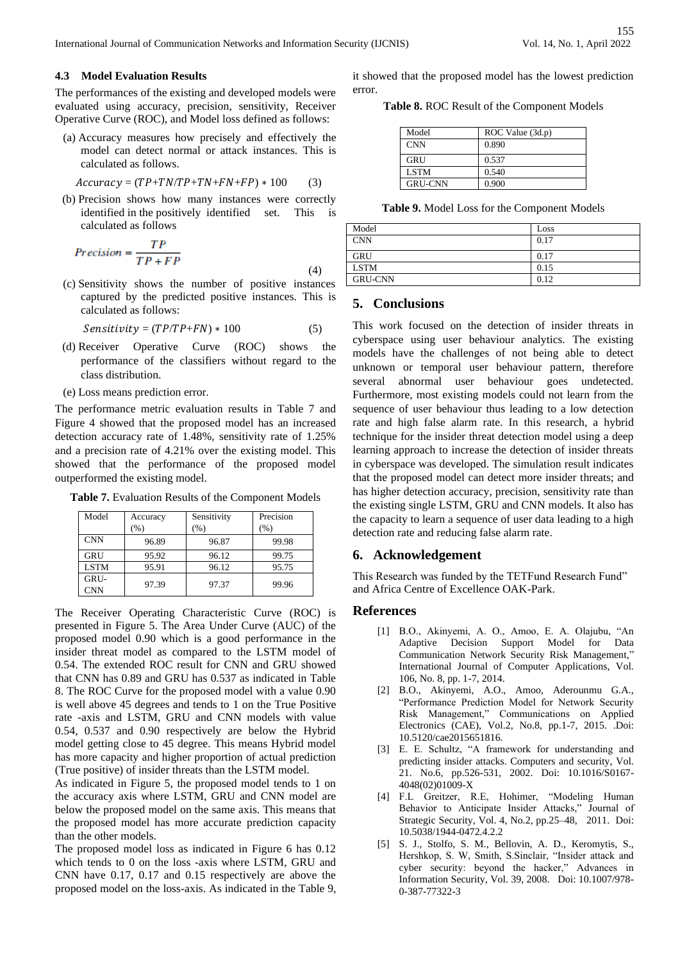## **4.3 Model Evaluation Results**

The performances of the existing and developed models were evaluated using accuracy, precision, sensitivity, Receiver Operative Curve (ROC), and Model loss defined as follows:

(a) Accuracy measures how precisely and effectively the model can detect normal or attack instances. This is calculated as follows.

$$
Accuracy = (TP + TN/TP + TN + FN + FP) * 100
$$
 (3)

(b) Precision shows how many instances were correctly identified in the positively identified set. This is calculated as follows

$$
Precision = \frac{TP}{TP + FP}
$$
\n<sup>(4)</sup>

(c) Sensitivity shows the number of positive instances captured by the predicted positive instances. This is calculated as follows:

$$
Sensitivity = (TP/TP + FN) * 100 \tag{5}
$$

- (d) Receiver Operative Curve (ROC) shows the performance of the classifiers without regard to the class distribution.
- (e) Loss means prediction error.

The performance metric evaluation results in Table 7 and Figure 4 showed that the proposed model has an increased detection accuracy rate of 1.48%, sensitivity rate of 1.25% and a precision rate of 4.21% over the existing model. This showed that the performance of the proposed model outperformed the existing model.

| Model              | Accuracy<br>(%) | Sensitivity<br>$\frac{9}{6}$ | Precision<br>(%) |
|--------------------|-----------------|------------------------------|------------------|
| <b>CNN</b>         | 96.89           | 96.87                        | 99.98            |
| GRU                | 95.92           | 96.12                        | 99.75            |
| <b>LSTM</b>        | 95.91           | 96.12                        | 95.75            |
| GRU-<br><b>CNN</b> | 97.39           | 97.37                        | 99.96            |

**Table 7.** Evaluation Results of the Component Models

The Receiver Operating Characteristic Curve (ROC) is presented in Figure 5. The Area Under Curve (AUC) of the proposed model 0.90 which is a good performance in the insider threat model as compared to the LSTM model of 0.54. The extended ROC result for CNN and GRU showed that CNN has 0.89 and GRU has 0.537 as indicated in Table 8. The ROC Curve for the proposed model with a value 0.90 is well above 45 degrees and tends to 1 on the True Positive rate -axis and LSTM, GRU and CNN models with value 0.54, 0.537 and 0.90 respectively are below the Hybrid model getting close to 45 degree. This means Hybrid model has more capacity and higher proportion of actual prediction (True positive) of insider threats than the LSTM model.

As indicated in Figure 5, the proposed model tends to 1 on the accuracy axis where LSTM, GRU and CNN model are below the proposed model on the same axis. This means that the proposed model has more accurate prediction capacity than the other models.

The proposed model loss as indicated in Figure 6 has 0.12 which tends to 0 on the loss -axis where LSTM, GRU and CNN have 0.17, 0.17 and 0.15 respectively are above the proposed model on the loss-axis. As indicated in the Table 9,

it showed that the proposed model has the lowest prediction error.

**Table 8.** ROC Result of the Component Models

| Model          | ROC Value (3d.p) |
|----------------|------------------|
| <b>CNN</b>     | 0.890            |
| GRU            | 0.537            |
| <b>LSTM</b>    | 0.540            |
| <b>GRU-CNN</b> | 0.900            |

**Table 9.** Model Loss for the Component Models

| Model          | Loss |
|----------------|------|
| <b>CNN</b>     | 0.17 |
| <b>GRU</b>     | 0.17 |
| <b>LSTM</b>    | 0.15 |
| <b>GRU-CNN</b> | 0.12 |

## **5. Conclusions**

This work focused on the detection of insider threats in cyberspace using user behaviour analytics. The existing models have the challenges of not being able to detect unknown or temporal user behaviour pattern, therefore several abnormal user behaviour goes undetected. Furthermore, most existing models could not learn from the sequence of user behaviour thus leading to a low detection rate and high false alarm rate. In this research, a hybrid technique for the insider threat detection model using a deep learning approach to increase the detection of insider threats in cyberspace was developed. The simulation result indicates that the proposed model can detect more insider threats; and has higher detection accuracy, precision, sensitivity rate than the existing single LSTM, GRU and CNN models. It also has the capacity to learn a sequence of user data leading to a high detection rate and reducing false alarm rate.

# **6. Acknowledgement**

This Research was funded by the TETFund Research Fund" and Africa Centre of Excellence OAK-Park.

## **References**

- [1] B.O., Akinyemi, A. O., Amoo, E. A. Olajubu, "An Adaptive Decision Support Model for Data Communication Network Security Risk Management," International Journal of Computer Applications, Vol. 106, No. 8, pp. 1-7, 2014.
- [2] B.O., Akinyemi, A.O., Amoo, Aderounmu G.A., "Performance Prediction Model for Network Security Risk Management," Communications on Applied Electronics (CAE), Vol.2, No.8, pp.1-7, 2015. .Doi: 10.5120/cae2015651816.
- [3] E. E. Schultz, "A framework for understanding and predicting insider attacks. Computers and security, Vol. 21. No.6, pp.526-531, 2002. Doi: 10.1016/S0167- 4048(02)01009-X
- [4] F.L Greitzer, R.E, Hohimer, "Modeling Human Behavior to Anticipate Insider Attacks," Journal of Strategic Security, Vol. 4, No.2, pp.25–48, 2011. Doi: 10.5038/1944-0472.4.2.2
- [5] S. J., Stolfo, S. M., Bellovin, A. D., Keromytis, S., Hershkop, S. W, Smith, S.Sinclair, "Insider attack and cyber security: beyond the hacker," Advances in Information Security, Vol. 39, 2008. Doi: 10.1007/978- 0-387-77322-3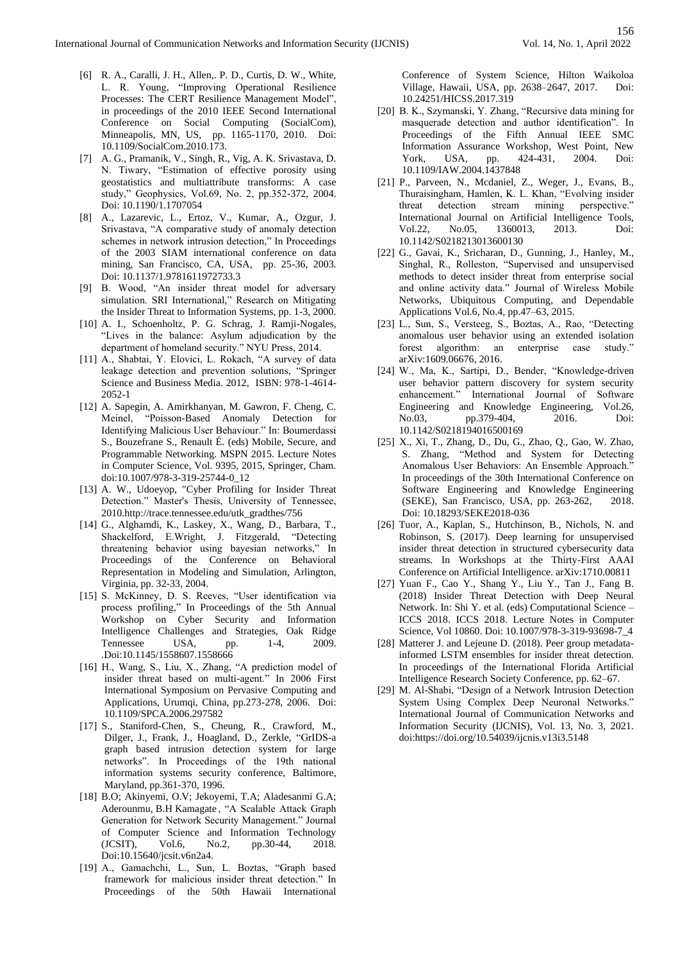- [6] R. A., Caralli, J. H., Allen,. P. D., Curtis, D. W., White, L. R. Young, "Improving Operational Resilience Processes: The CERT Resilience Management Model", in proceedings of the 2010 IEEE Second International Conference on Social Computing (SocialCom), Minneapolis, MN, US, pp. 1165-1170, 2010. Doi: 10.1109/SocialCom.2010.173.
- [7] A. G., Pramanik, V., Singh, R., Vig, A. K. Srivastava, D. N. Tiwary, "Estimation of effective porosity using geostatistics and multiattribute transforms: A case study," Geophysics, Vol.69, No. 2, pp.352-372, 2004. Doi: 10.1190/1.1707054
- [8] A., Lazarevic, L., Ertoz, V., Kumar, A., Ozgur, J. Srivastava, "A comparative study of anomaly detection schemes in network intrusion detection," In Proceedings of the 2003 SIAM international conference on data mining, San Francisco, CA, USA, pp. 25-36, 2003. Doi: 10.1137/1.9781611972733.3
- [9] B. Wood, "An insider threat model for adversary simulation. SRI International," Research on Mitigating the Insider Threat to Information Systems, pp. 1-3, 2000.
- [10] A. I., Schoenholtz, P. G. Schrag, J. Ramji-Nogales, "Lives in the balance: Asylum adjudication by the department of homeland security." NYU Press, 2014.
- [11] A., Shabtai, Y. Elovici, L. Rokach, "A survey of data leakage detection and prevention solutions, "Springer Science and Business Media. 2012, ISBN: 978-1-4614- 2052-1
- [12] A. Sapegin, A. Amirkhanyan, M. Gawron, F. Cheng, C. Meinel, "Poisson-Based Anomaly Detection for Identifying Malicious User Behaviour." In: Boumerdassi S., Bouzefrane S., Renault É. (eds) Mobile, Secure, and Programmable Networking. MSPN 2015. Lecture Notes in Computer Science, Vol. 9395, 2015, Springer, Cham. doi:10.1007/978-3-319-25744-0\_12
- [13] A. W., Udoeyop, "Cyber Profiling for Insider Threat Detection." Master's Thesis, University of Tennessee, 2010.http://trace.tennessee.edu/utk\_gradthes/756
- [14] G., Alghamdi, K., Laskey, X., Wang, D., Barbara, T., Shackelford, E.Wright, J. Fitzgerald, "Detecting threatening behavior using bayesian networks," In Proceedings of the Conference on Behavioral Representation in Modeling and Simulation, Arlington, Virginia, pp. 32-33, 2004.
- [15] S. McKinney, D. S. Reeves, "User identification via process profiling," In Proceedings of the 5th Annual Workshop on Cyber Security and Information Intelligence Challenges and Strategies, Oak Ridge Tennessee USA, pp. 1-4, 2009. .Doi:10.1145/1558607.1558666
- [16] H., Wang, S., Liu, X., Zhang, "A prediction model of insider threat based on multi-agent." In 2006 First International Symposium on Pervasive Computing and Applications, Urumqi, China, pp.273-278, 2006. Doi: 10.1109/SPCA.2006.297582
- [17] S., Staniford-Chen, S., Cheung, R., Crawford, M., Dilger, J., Frank, J., Hoagland, D., Zerkle, "GrIDS-a graph based intrusion detection system for large networks". In Proceedings of the 19th national information systems security conference, Baltimore, Maryland, pp.361-370, 1996.
- [18] B.O; Akinyemi, O.V; Jekoyemi, T.A; Aladesanmi G.A; Aderounmu, B.H Kamagate , "A Scalable Attack Graph Generation for Network Security Management." Journal of Computer Science and Information Technology<br>(JCSIT), Vol.6, No.2, pp.30-44, 2018. (JCSIT), Vol.6, No.2, pp.30-44, 2018. Doi:10.15640/jcsit.v6n2a4.
- [19] A., Gamachchi, L., Sun, L. Boztas, "Graph based framework for malicious insider threat detection." In Proceedings of the 50th Hawaii International

Conference of System Science, Hilton Waikoloa Village, Hawaii, USA, pp. 2638–2647, 2017. Doi: 10.24251/HICSS.2017.319

- [20] B. K., Szymanski, Y. Zhang, "Recursive data mining for masquerade detection and author identification". In Proceedings of the Fifth Annual IEEE SMC Information Assurance Workshop, West Point, New York, USA, pp. 424-431, 2004. Doi: 10.1109/IAW.2004.1437848
- [21] P., Parveen, N., Mcdaniel, Z., Weger, J., Evans, B., Thuraisingham, Hamlen, K. L. Khan, "Evolving insider threat detection stream mining perspective." International Journal on Artificial Intelligence Tools, Vol.22, No.05, 1360013, 2013. Doi: 10.1142/S0218213013600130
- [22] G., Gavai, K., Sricharan, D., Gunning, J., Hanley, M., Singhal, R., Rolleston, "Supervised and unsupervised methods to detect insider threat from enterprise social and online activity data." Journal of Wireless Mobile Networks, Ubiquitous Computing, and Dependable Applications Vol.6, No.4, pp.47–63, 2015.
- [23] L., Sun, S., Versteeg, S., Boztas, A., Rao, "Detecting anomalous user behavior using an extended isolation forest algorithm: an enterprise case study." arXiv:1609.06676, 2016.
- [24] W., Ma, K., Sartipi, D., Bender, "Knowledge-driven user behavior pattern discovery for system security enhancement." International Journal of Software Engineering and Knowledge Engineering, Vol.26, No.03, pp.379-404, 2016. Doi: 10.1142/S0218194016500169
- [25] X., Xi, T., Zhang, D., Du, G., Zhao, Q., Gao, W. Zhao, S. Zhang, "Method and System for Detecting Anomalous User Behaviors: An Ensemble Approach." In proceedings of the 30th International Conference on Software Engineering and Knowledge Engineering (SEKE), San Francisco, USA, pp. 263-262, 2018. Doi: 10.18293/SEKE2018-036
- [26] Tuor, A., Kaplan, S., Hutchinson, B., Nichols, N. and Robinson, S. (2017). Deep learning for unsupervised insider threat detection in structured cybersecurity data streams. In Workshops at the Thirty-First AAAI Conference on Artificial Intelligence. arXiv:1710.00811
- [27] Yuan F., Cao Y., Shang Y., Liu Y., Tan J., Fang B. (2018) Insider Threat Detection with Deep Neural Network. In: Shi Y. et al. (eds) Computational Science – ICCS 2018. ICCS 2018. Lecture Notes in Computer Science, Vol 10860. Doi: 10.1007/978-3-319-93698-7\_4
- [28] Matterer J. and Lejeune D. (2018). Peer group metadatainformed LSTM ensembles for insider threat detection. In proceedings of the International Florida Artificial Intelligence Research Society Conference, pp. 62–67.
- [29] M. Al-Shabi, "Design of a Network Intrusion Detection System Using Complex Deep Neuronal Networks." International Journal of Communication Networks and Information Security (IJCNIS), Vol. 13, No. 3, 2021. doi:https://doi.org/10.54039/ijcnis.v13i3.5148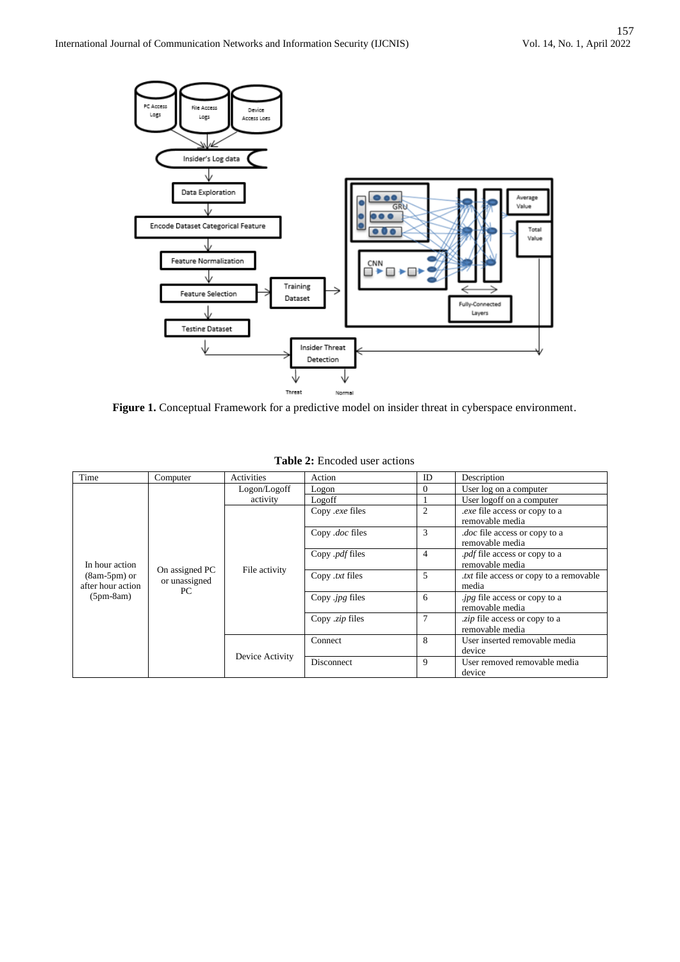

Figure 1. Conceptual Framework for a predictive model on insider threat in cyberspace environment.

| Time                                                                 | Computer                                                                   | Activities   | Action                | ID             | Description                                             |
|----------------------------------------------------------------------|----------------------------------------------------------------------------|--------------|-----------------------|----------------|---------------------------------------------------------|
|                                                                      |                                                                            | Logon/Logoff | Logon                 | $\Omega$       | User log on a computer                                  |
|                                                                      |                                                                            | activity     | Logoff                |                | User logoff on a computer                               |
|                                                                      |                                                                            |              | Copy .exe files       | $\overline{c}$ | <i>exe</i> file access or copy to a<br>removable media  |
|                                                                      |                                                                            |              | Copy .doc files       | 3              | <i>doc</i> file access or copy to a<br>removable media  |
| In hour action<br>$(8am-5pm)$ or<br>after hour action<br>$(5pm-8am)$ | On assigned PC<br>File activity<br>or unassigned<br>PC.<br>Device Activity |              | Copy .pdf files       | 4              | <i>pdf</i> file access or copy to a<br>removable media  |
|                                                                      |                                                                            |              | Copy .txt files       | 5              | <i>txt</i> file access or copy to a removable.<br>media |
|                                                                      |                                                                            |              | Copy <i>ipg</i> files | 6              | <i>ipg</i> file access or copy to a<br>removable media  |
|                                                                      |                                                                            |              | Copy .zip files       | $\overline{7}$ | <i>zip</i> file access or copy to a<br>removable media  |
|                                                                      |                                                                            |              | Connect               | 8              | User inserted removable media<br>device                 |
|                                                                      |                                                                            |              | Disconnect            | 9              | User removed removable media<br>device                  |

**Table 2:** Encoded user actions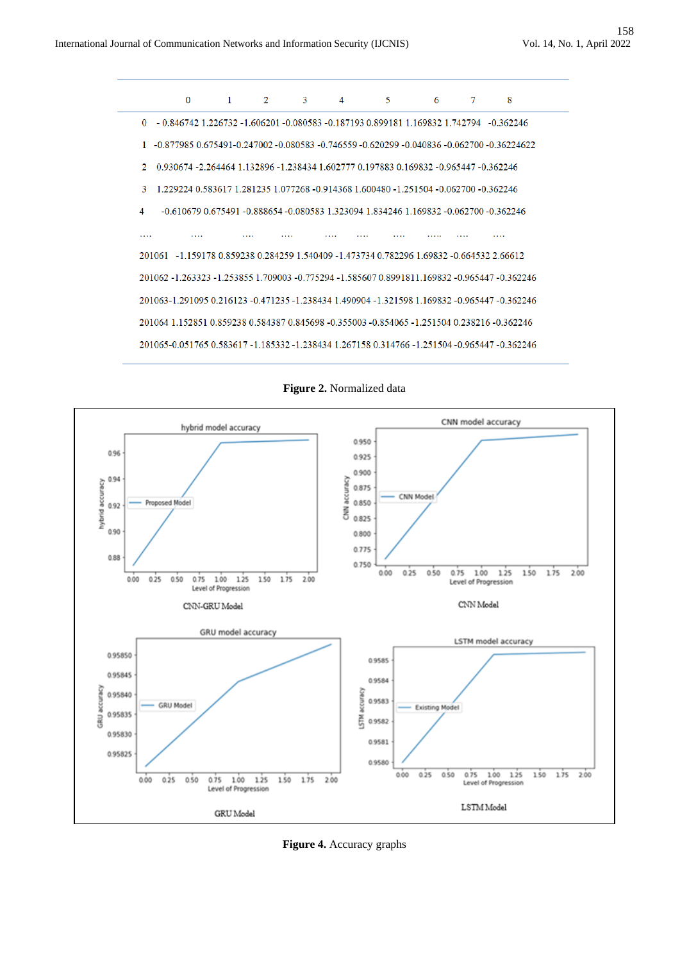

**Figure 2.** Normalized data



**Figure 4.** Accuracy graphs